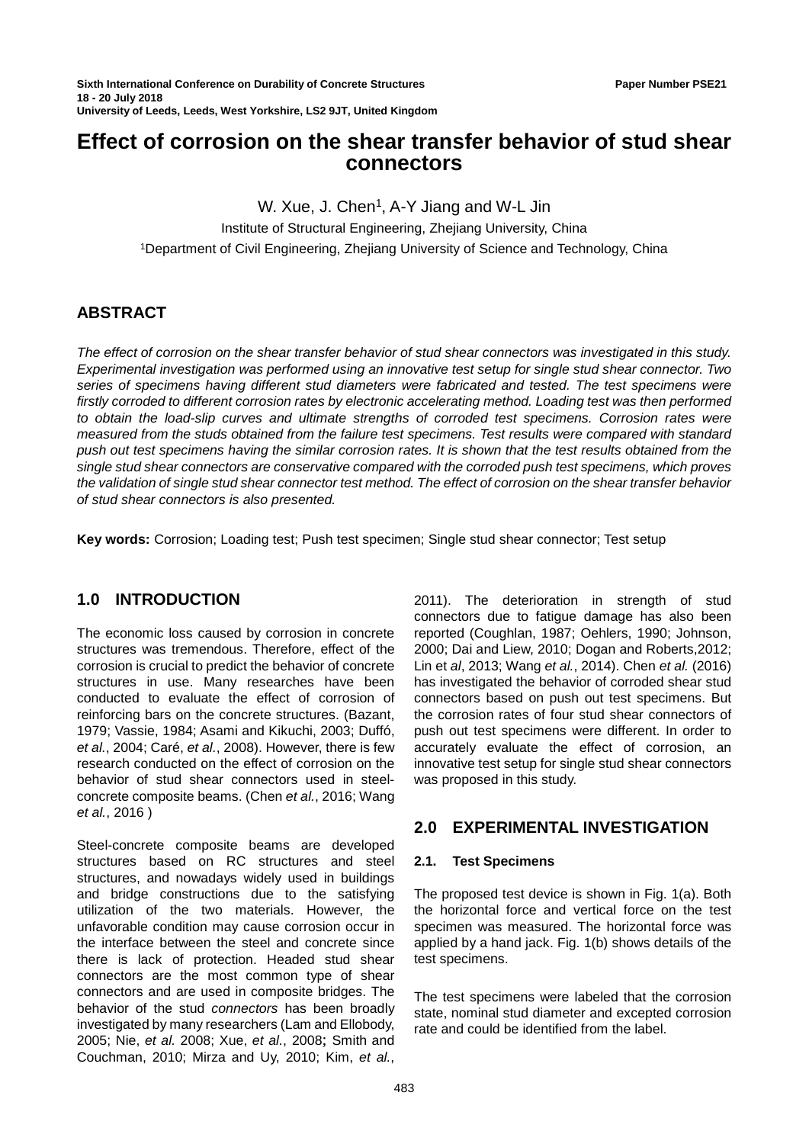# **Effect of corrosion on the shear transfer behavior of stud shear connectors**

W. Xue, J. Chen<sup>1</sup>, A-Y Jiang and W-L Jin Institute of Structural Engineering, Zhejiang University, China 1Department of Civil Engineering, Zhejiang University of Science and Technology, China

## **ABSTRACT**

*The effect of corrosion on the shear transfer behavior of stud shear connectors was investigated in this study. Experimental investigation was performed using an innovative test setup for single stud shear connector. Two series of specimens having different stud diameters were fabricated and tested. The test specimens were firstly corroded to different corrosion rates by electronic accelerating method. Loading test was then performed to obtain the load-slip curves and ultimate strengths of corroded test specimens. Corrosion rates were measured from the studs obtained from the failure test specimens. Test results were compared with standard push out test specimens having the similar corrosion rates. It is shown that the test results obtained from the single stud shear connectors are conservative compared with the corroded push test specimens, which proves the validation of single stud shear connector test method. The effect of corrosion on the shear transfer behavior of stud shear connectors is also presented.*

**Key words:** Corrosion; Loading test; Push test specimen; Single stud shear connector; Test setup

## **1.0 INTRODUCTION**

The economic loss caused by corrosion in concrete structures was tremendous. Therefore, effect of the corrosion is crucial to predict the behavior of concrete structures in use. Many researches have been conducted to evaluate the effect of corrosion of reinforcing bars on the concrete structures. (Bazant, 1979; Vassie, 1984; Asami and Kikuchi, 2003; Duffó, *et al.*, 2004; Caré, *et al.*, 2008). However, there is few research conducted on the effect of corrosion on the behavior of stud shear connectors used in steelconcrete composite beams. (Chen *et al.*, 2016; Wang *et al.*, 2016 )

Steel-concrete composite beams are developed structures based on RC structures and steel structures, and nowadays widely used in buildings and bridge constructions due to the satisfying utilization of the two materials. However, the unfavorable condition may cause corrosion occur in the interface between the steel and concrete since there is lack of protection. Headed stud shear connectors are the most common type of shear connectors and are used in composite bridges. The behavior of the stud *connectors* has been broadly investigated by many researchers (Lam and Ellobody, 2005; Nie, *et al.* 2008; Xue, *et al.*, 2008; Smith and Couchman, 2010; Mirza and Uy, 2010; Kim, *et al.*,

2011). The deterioration in strength of stud connectors due to fatigue damage has also been reported (Coughlan, 1987; Oehlers, 1990; Johnson, 2000; Dai and Liew, 2010; Dogan and Roberts,2012; Lin et *al*, 2013; Wang *et al.*, 2014). Chen *et al.* (2016) has investigated the behavior of corroded shear stud connectors based on push out test specimens. But the corrosion rates of four stud shear connectors of push out test specimens were different. In order to accurately evaluate the effect of corrosion, an innovative test setup for single stud shear connectors was proposed in this study.

## **2.0 EXPERIMENTAL INVESTIGATION**

#### **2.1. Test Specimens**

The proposed test device is shown in Fig. 1(a). Both the horizontal force and vertical force on the test specimen was measured. The horizontal force was applied by a hand jack. Fig. 1(b) shows details of the test specimens.

The test specimens were labeled that the corrosion state, nominal stud diameter and excepted corrosion rate and could be identified from the label.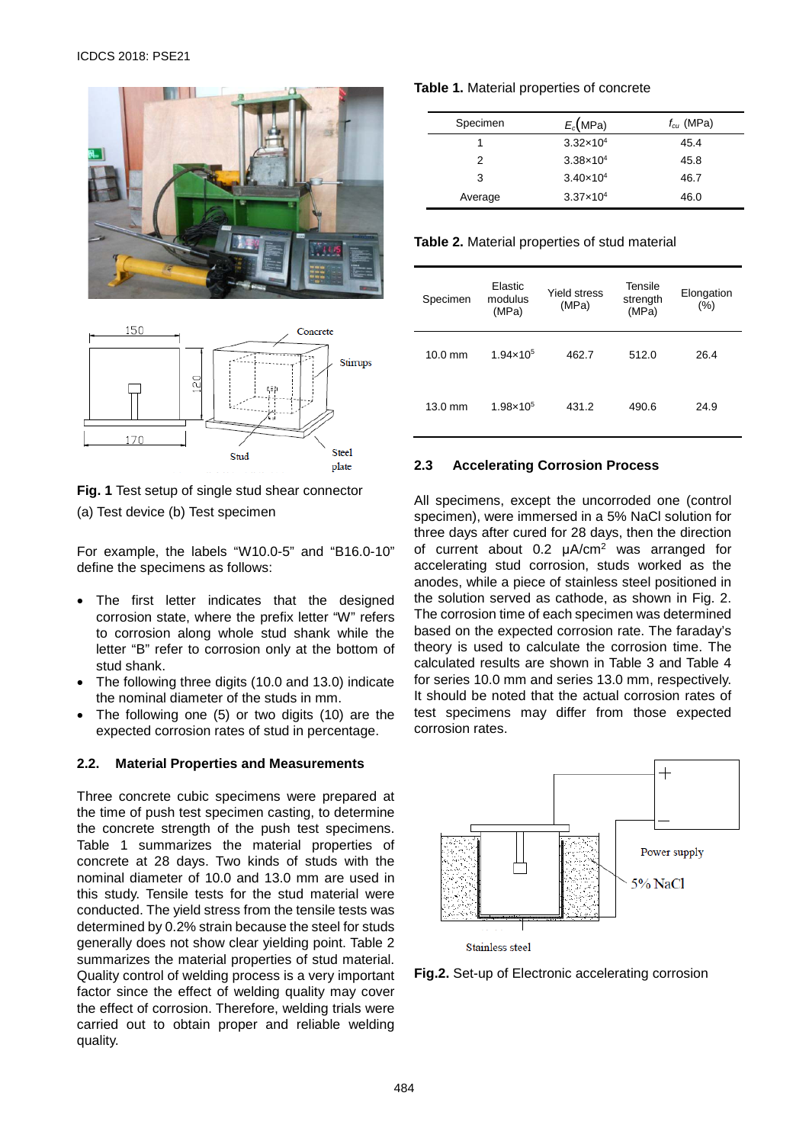



**Fig. 1** Test setup of single stud shear connector (a) Test device (b) Test specimen

For example, the labels "W10.0-5" and "B16.0-10" define the specimens as follows:

- The first letter indicates that the designed corrosion state, where the prefix letter "W" refers to corrosion along whole stud shank while the letter "B" refer to corrosion only at the bottom of stud shank.
- The following three digits (10.0 and 13.0) indicate the nominal diameter of the studs in mm.
- The following one (5) or two digits (10) are the expected corrosion rates of stud in percentage.

#### **2.2. Material Properties and Measurements**

Three concrete cubic specimens were prepared at the time of push test specimen casting, to determine the concrete strength of the push test specimens. Table 1 summarizes the material properties of concrete at 28 days. Two kinds of studs with the nominal diameter of 10.0 and 13.0 mm are used in this study. Tensile tests for the stud material were conducted. The yield stress from the tensile tests was determined by 0.2% strain because the steel for studs generally does not show clear yielding point. Table 2 summarizes the material properties of stud material. Quality control of welding process is a very important factor since the effect of welding quality may cover the effect of corrosion. Therefore, welding trials were carried out to obtain proper and reliable welding quality.

### **Table 1.** Material properties of concrete

| Specimen | $E_c(MPa)$           | $f_{cu}$ (MPa) |
|----------|----------------------|----------------|
|          | $3.32 \times 10^{4}$ | 45.4           |
| 2        | $3.38 \times 10^{4}$ | 45.8           |
| 3        | $3.40 \times 10^{4}$ | 46.7           |
| Average  | $3.37 \times 10^{4}$ | 46.0           |

**Table 2.** Material properties of stud material

| Specimen  | Elastic<br>modulus<br>(MPa) | <b>Yield stress</b><br>(MPa) | Tensile<br>strength<br>(MPa) | Elongation<br>(%) |
|-----------|-----------------------------|------------------------------|------------------------------|-------------------|
| $10.0$ mm | $1.94 \times 10^{5}$        | 462.7                        | 512.0                        | 26.4              |
| $13.0$ mm | $1.98 \times 10^{5}$        | 431.2                        | 490.6                        | 24.9              |

### **2.3 Accelerating Corrosion Process**

All specimens, except the uncorroded one (control specimen), were immersed in a 5% NaCl solution for three days after cured for 28 days, then the direction of current about 0.2 μA/cm2 was arranged for accelerating stud corrosion, studs worked as the anodes, while a piece of stainless steel positioned in the solution served as cathode, as shown in Fig. 2. The corrosion time of each specimen was determined based on the expected corrosion rate. The faraday's theory is used to calculate the corrosion time. The calculated results are shown in Table 3 and Table 4 for series 10.0 mm and series 13.0 mm, respectively. It should be noted that the actual corrosion rates of test specimens may differ from those expected corrosion rates.



**Fig.2.** Set-up of Electronic accelerating corrosion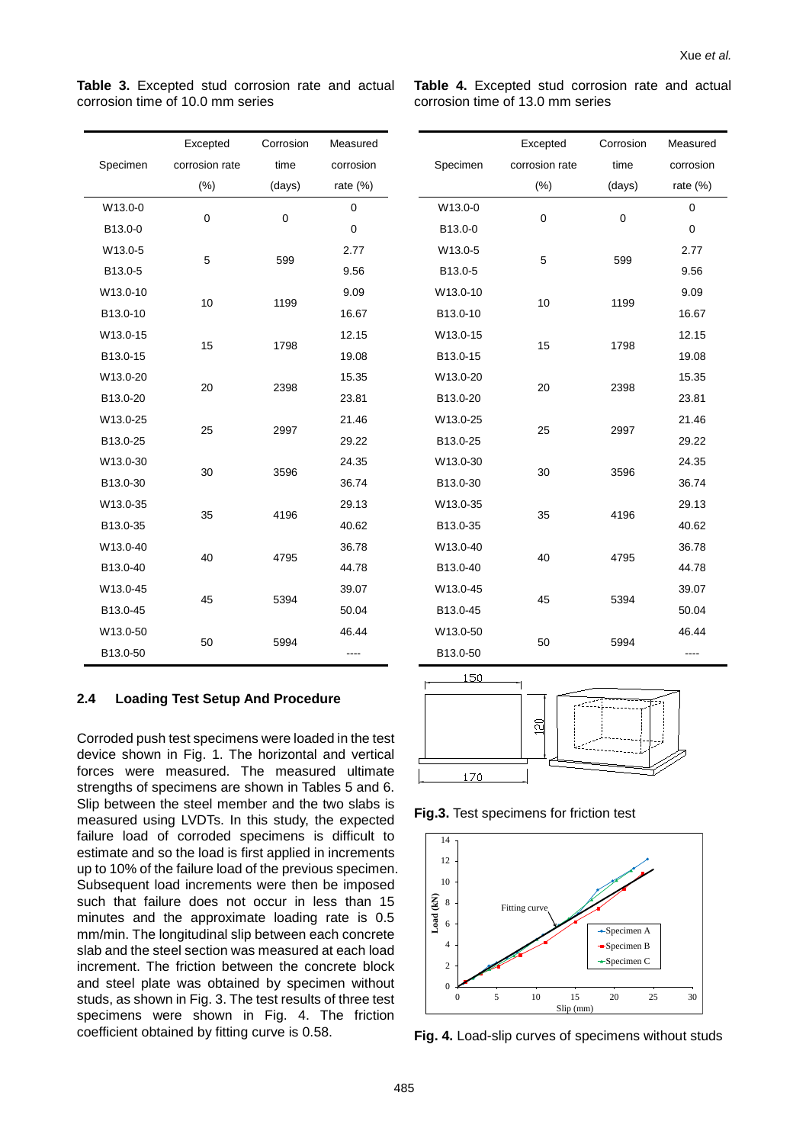Measured corrosion rate (%)

 $\Omega$ 

2.77

9.09

12.15

15.35

21.46

24.35

29.13

36.78

|          | Excepted       | Corrosion | Measured |
|----------|----------------|-----------|----------|
| Specimen | corrosion rate | time      |          |
|          | $(\%)$         | (days)    | rate (%) |
| W13.0-0  | 0              | 0         | 0        |
| B13.0-0  |                |           | 0        |
| W13.0-5  | 5              | 599       | 2.77     |
| B13.0-5  |                |           | 9.56     |
| W13.0-10 | 10             | 1199      | 9.09     |
| B13.0-10 |                |           | 16.67    |
| W13.0-15 | 15             | 1798      | 12.15    |
| B13.0-15 |                |           | 19.08    |
| W13.0-20 | 20             | 2398      | 15.35    |
| B13.0-20 |                |           | 23.81    |
| W13.0-25 | 25             | 2997      | 21.46    |
| B13.0-25 |                |           | 29.22    |
| W13.0-30 | 30             | 3596      | 24.35    |
| B13.0-30 |                |           | 36.74    |
| W13.0-35 | 35             | 4196      | 29.13    |
| B13.0-35 |                |           | 40.62    |
| W13.0-40 | 40             | 4795      | 36.78    |
| B13.0-40 |                |           | 44.78    |
| W13.0-45 | 45             | 5394      | 39.07    |
| B13.0-45 |                |           | 50.04    |
| W13.0-50 | 50             | 5994      | 46.44    |
| B13.0-50 |                |           |          |

**Table 3.** Excepted stud corrosion rate and actual corrosion time of 10.0 mm series

**Table 4.** Excepted stud corrosion rate and actual corrosion time of 13.0 mm series

0 0

5 599

10 1199

15 1798

20 2398

25 2997

30 3596

35 4196

B13.0-0 0

B13.0-5 9.56

B13.0-10 16.67

B13.0-15 19.08

B<sub>13</sub>.0-20 23.81

B13.0-25 29.22

B13.0-30 36.74

B13.0-35 40.62

Corrosion time (days)

Excepted corrosion rate (%)

Specimen

W13.0-0

W13.0-5

W13.0-10

W13.0-15

W13.0-20

W13.0-25

W13.0-30

W13.0-35

W13.0-40

170

## 40 4795 B13.0-40 44.78 W13.0-45 39.07 45 5394 B13.0-45 50.04 W13.0-50 46.44 50 5994 B13.0-50 ---- 150  $\overline{c}$

**Fig.3.** Test specimens for friction test



**Fig. 4.** Load-slip curves of specimens without studs

**2.4 Loading Test Setup And Procedure**

Corroded push test specimens were loaded in the test device shown in Fig. 1. The horizontal and vertical forces were measured. The measured ultimate strengths of specimens are shown in Tables 5 and 6. Slip between the steel member and the two slabs is measured using LVDTs. In this study, the expected failure load of corroded specimens is difficult to estimate and so the load is first applied in increments up to 10% of the failure load of the previous specimen. Subsequent load increments were then be imposed such that failure does not occur in less than 15 minutes and the approximate loading rate is 0.5 mm/min. The longitudinal slip between each concrete slab and the steel section was measured at each load increment. The friction between the concrete block and steel plate was obtained by specimen without studs, as shown in Fig. 3. The test results of three test specimens were shown in Fig. 4. The friction coefficient obtained by fitting curve is 0.58.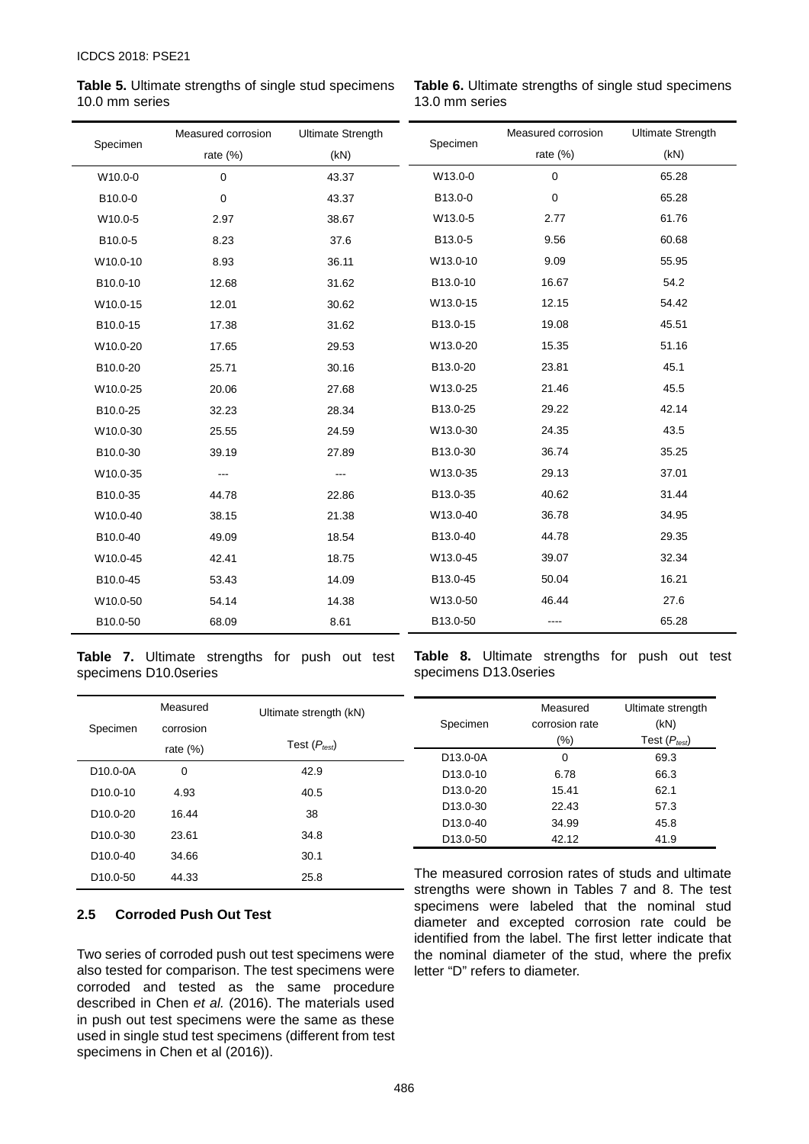**Table 5.** Ultimate strengths of single stud specimens 10.0 mm series

**Table 6.** Ultimate strengths of single stud specimens 13.0 mm series

| Specimen | Measured corrosion | <b>Ultimate Strength</b> |          | Measured corrosion | <b>Ultimate Strength</b> |
|----------|--------------------|--------------------------|----------|--------------------|--------------------------|
|          | rate $(\%)$        | (kN)                     | Specimen | rate (%)           | (kN)                     |
| W10.0-0  | $\mathbf 0$        | 43.37                    | W13.0-0  | $\mathbf 0$        | 65.28                    |
| B10.0-0  | $\mathbf 0$        | 43.37                    | B13.0-0  | 0                  | 65.28                    |
| W10.0-5  | 2.97               | 38.67                    | W13.0-5  | 2.77               | 61.76                    |
| B10.0-5  | 8.23               | 37.6                     | B13.0-5  | 9.56               | 60.68                    |
| W10.0-10 | 8.93               | 36.11                    | W13.0-10 | 9.09               | 55.95                    |
| B10.0-10 | 12.68              | 31.62                    | B13.0-10 | 16.67              | 54.2                     |
| W10.0-15 | 12.01              | 30.62                    | W13.0-15 | 12.15              | 54.42                    |
| B10.0-15 | 17.38              | 31.62                    | B13.0-15 | 19.08              | 45.51                    |
| W10.0-20 | 17.65              | 29.53                    | W13.0-20 | 15.35              | 51.16                    |
| B10.0-20 | 25.71              | 30.16                    | B13.0-20 | 23.81              | 45.1                     |
| W10.0-25 | 20.06              | 27.68                    | W13.0-25 | 21.46              | 45.5                     |
| B10.0-25 | 32.23              | 28.34                    | B13.0-25 | 29.22              | 42.14                    |
| W10.0-30 | 25.55              | 24.59                    | W13.0-30 | 24.35              | 43.5                     |
| B10.0-30 | 39.19              | 27.89                    | B13.0-30 | 36.74              | 35.25                    |
| W10.0-35 | $--$               | $\overline{\phantom{a}}$ | W13.0-35 | 29.13              | 37.01                    |
| B10.0-35 | 44.78              | 22.86                    | B13.0-35 | 40.62              | 31.44                    |
| W10.0-40 | 38.15              | 21.38                    | W13.0-40 | 36.78              | 34.95                    |
| B10.0-40 | 49.09              | 18.54                    | B13.0-40 | 44.78              | 29.35                    |
| W10.0-45 | 42.41              | 18.75                    | W13.0-45 | 39.07              | 32.34                    |
| B10.0-45 | 53.43              | 14.09                    | B13.0-45 | 50.04              | 16.21                    |
| W10.0-50 | 54.14              | 14.38                    | W13.0-50 | 46.44              | 27.6                     |
| B10.0-50 | 68.09              | 8.61                     | B13.0-50 | ----               | 65.28                    |

**Table 7.** Ultimate strengths for push out test specimens D10.0series

**Table 8.** Ultimate strengths for push out test specimens D13.0series

| Measured<br>Specimen<br>corrosion<br>rate $(\%)$ |       | Ultimate strength (kN) | Specimen              | Measured<br>corrosion rate | Ultimate strength<br>(kN)                        |
|--------------------------------------------------|-------|------------------------|-----------------------|----------------------------|--------------------------------------------------|
|                                                  |       | Test $(P_{test})$      |                       | (%)                        | Test ( $P_{\mathit{test}}$ )                     |
|                                                  |       | D13.0-0A               | $\Omega$              | 69.3                       |                                                  |
| D <sub>10</sub> .0-0A                            | 0     | 42.9                   | D <sub>13</sub> .0-10 | 6.78                       | 66.3                                             |
| D <sub>10.0</sub> -10                            | 4.93  | 40.5                   | D <sub>13</sub> .0-20 | 15.41                      | 62.1                                             |
| D <sub>10.0</sub> -20                            | 16.44 | 38                     | D <sub>13</sub> .0-30 | 22.43                      | 57.3                                             |
|                                                  |       |                        | D <sub>13.0</sub> -40 | 34.99                      | 45.8                                             |
| D <sub>10.0</sub> -30                            | 23.61 | 34.8                   | D <sub>13.0</sub> -50 | 42.12                      | 41.9                                             |
| D <sub>10.0</sub> -40                            | 34.66 | 30.1                   |                       |                            |                                                  |
| D <sub>10.0</sub> -50                            | 44.33 | 25.8                   |                       |                            | The measured corrosion rates of studs and ultim- |

## **2.5 Corroded Push Out Test**

Two series of corroded push out test specimens were also tested for comparison. The test specimens were corroded and tested as the same procedure described in Chen *et al.* (2016). The materials used in push out test specimens were the same as these used in single stud test specimens (different from test specimens in Chen et al (2016)).

The measured corrosion rates of studs and ultimate strengths were shown in Tables 7 and 8. The test specimens were labeled that the nominal stud diameter and excepted corrosion rate could be identified from the label. The first letter indicate that the nominal diameter of the stud, where the prefix letter "D" refers to diameter.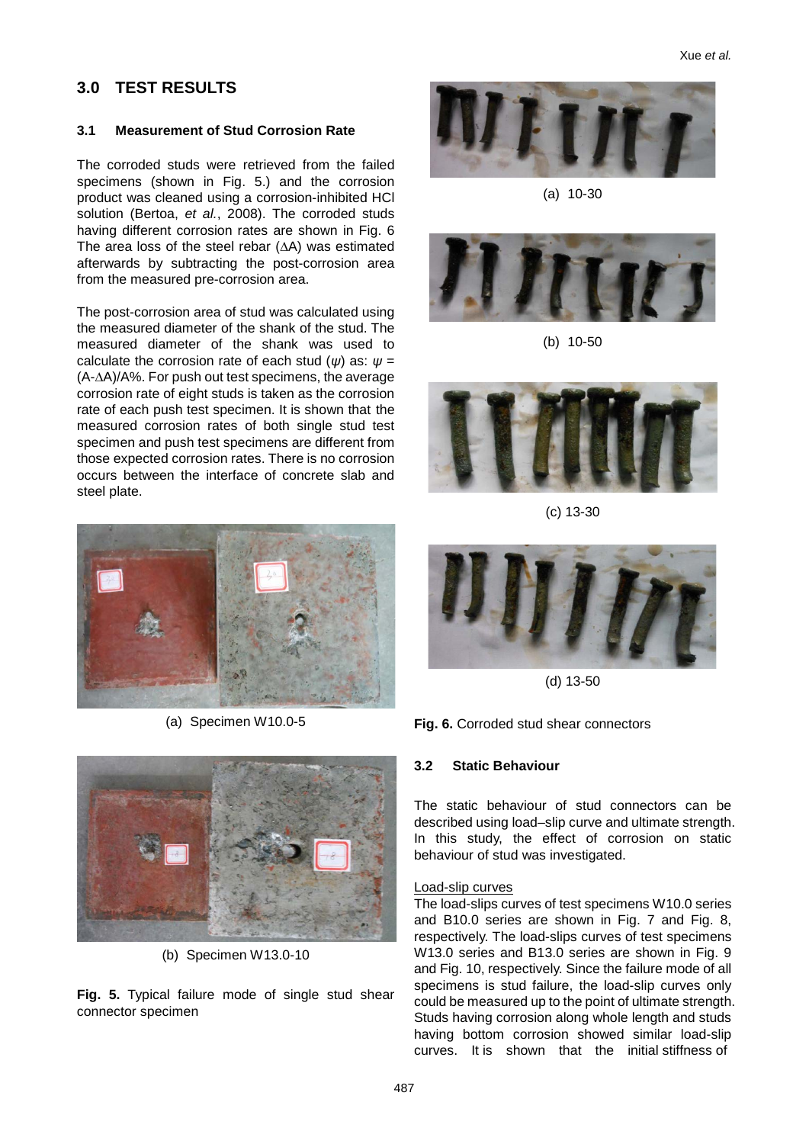## **3.0 TEST RESULTS**

## **3.1 Measurement of Stud Corrosion Rate**

The corroded studs were retrieved from the failed specimens (shown in Fig. 5.) and the corrosion product was cleaned using a corrosion-inhibited HCl solution (Bertoa, *et al.*, 2008). The corroded studs having different corrosion rates are shown in Fig. 6 The area loss of the steel rebar (∆A) was estimated afterwards by subtracting the post-corrosion area from the measured pre-corrosion area.

The post-corrosion area of stud was calculated using the measured diameter of the shank of the stud. The measured diameter of the shank was used to calculate the corrosion rate of each stud (*ψ*) as: *ψ* = (A-∆A)/A%. For push out test specimens, the average corrosion rate of eight studs is taken as the corrosion rate of each push test specimen. It is shown that the measured corrosion rates of both single stud test specimen and push test specimens are different from those expected corrosion rates. There is no corrosion occurs between the interface of concrete slab and steel plate.



(a) Specimen W10.0-5



(b) Specimen W13.0-10

**Fig. 5.** Typical failure mode of single stud shear connector specimen



(a) 10-30



(b) 10-50



(c) 13-30



(d) 13-50

**Fig. 6.** Corroded stud shear connectors

## **3.2 Static Behaviour**

The static behaviour of stud connectors can be described using load–slip curve and ultimate strength. In this study, the effect of corrosion on static behaviour of stud was investigated.

#### Load-slip curves

The load-slips curves of test specimens W10.0 series and B10.0 series are shown in Fig. 7 and Fig. 8, respectively. The load-slips curves of test specimens W13.0 series and B13.0 series are shown in Fig. 9 and Fig. 10, respectively. Since the failure mode of all specimens is stud failure, the load-slip curves only could be measured up to the point of ultimate strength. Studs having corrosion along whole length and studs having bottom corrosion showed similar load-slip curves. It is shown that the initial stiffness of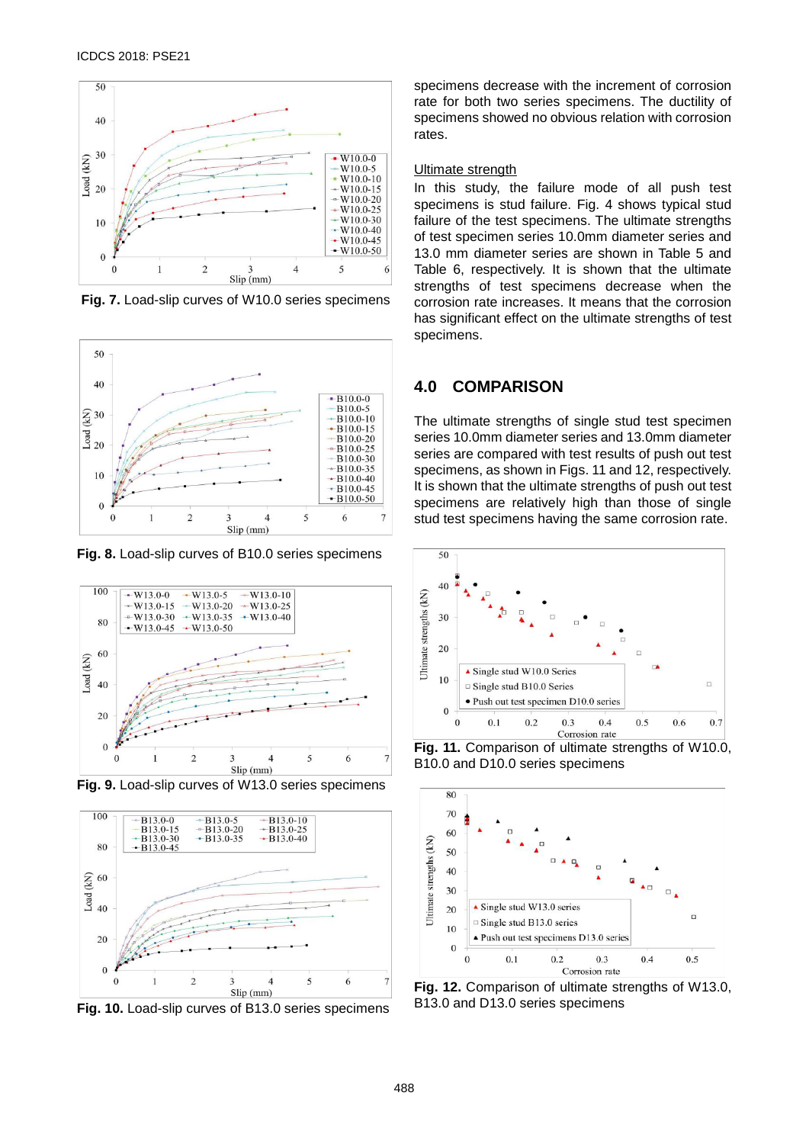

**Fig. 7.** Load-slip curves of W10.0 series specimens



**Fig. 8.** Load-slip curves of B10.0 series specimens



**Fig. 9.** Load-slip curves of W13.0 series specimens



**Fig. 10.** Load-slip curves of B13.0 series specimens

specimens decrease with the increment of corrosion rate for both two series specimens. The ductility of specimens showed no obvious relation with corrosion rates.

#### **Ultimate strength**

In this study, the failure mode of all push test specimens is stud failure. Fig. 4 shows typical stud failure of the test specimens. The ultimate strengths of test specimen series 10.0mm diameter series and 13.0 mm diameter series are shown in Table 5 and Table 6, respectively. It is shown that the ultimate strengths of test specimens decrease when the corrosion rate increases. It means that the corrosion has significant effect on the ultimate strengths of test specimens.

## **4.0 COMPARISON**

The ultimate strengths of single stud test specimen series 10.0mm diameter series and 13.0mm diameter series are compared with test results of push out test specimens, as shown in Figs. 11 and 12, respectively. It is shown that the ultimate strengths of push out test specimens are relatively high than those of single stud test specimens having the same corrosion rate.



**Fig. 11.** Comparison of ultimate strengths of W10.0, B10.0 and D10.0 series specimens



**Fig. 12.** Comparison of ultimate strengths of W13.0, B13.0 and D13.0 series specimens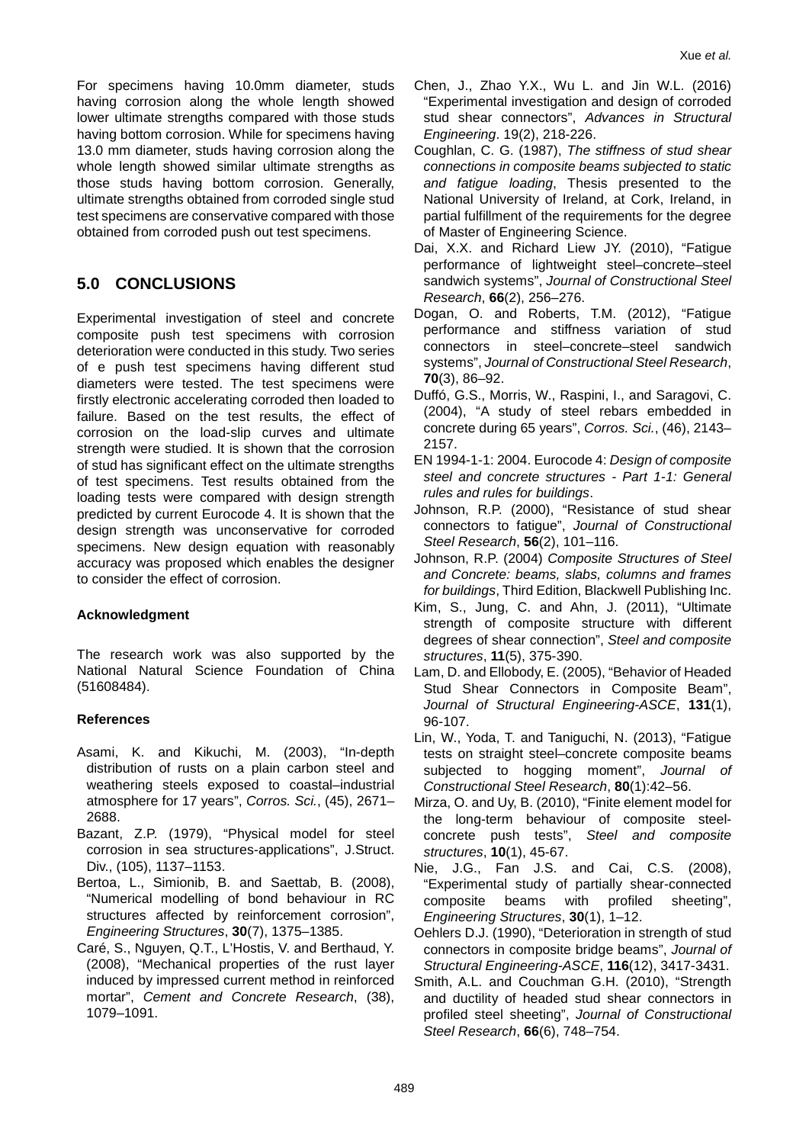For specimens having 10.0mm diameter, studs having corrosion along the whole length showed lower ultimate strengths compared with those studs having bottom corrosion. While for specimens having 13.0 mm diameter, studs having corrosion along the whole length showed similar ultimate strengths as those studs having bottom corrosion. Generally, ultimate strengths obtained from corroded single stud test specimens are conservative compared with those obtained from corroded push out test specimens.

## **5.0 CONCLUSIONS**

Experimental investigation of steel and concrete composite push test specimens with corrosion deterioration were conducted in this study. Two series of e push test specimens having different stud diameters were tested. The test specimens were firstly electronic accelerating corroded then loaded to failure. Based on the test results, the effect of corrosion on the load-slip curves and ultimate strength were studied. It is shown that the corrosion of stud has significant effect on the ultimate strengths of test specimens. Test results obtained from the loading tests were compared with design strength predicted by current Eurocode 4. It is shown that the design strength was unconservative for corroded specimens. New design equation with reasonably accuracy was proposed which enables the designer to consider the effect of corrosion.

## **Acknowledgment**

The research work was also supported by the National Natural Science Foundation of China (51608484).

## **References**

- Asami, K. and Kikuchi, M. (2003), "In-depth distribution of rusts on a plain carbon steel and weathering steels exposed to coastal–industrial atmosphere for 17 years", *Corros. Sci.*, (45), 2671– 2688.
- Bazant, Z.P. (1979), "Physical model for steel corrosion in sea structures-applications", J.Struct. Div., (105), 1137–1153.
- Bertoa, L., Simionib, B. and Saettab, B. (2008), "Numerical modelling of bond behaviour in RC structures affected by reinforcement corrosion", *Engineering Structures*, **30**(7), 1375–1385.
- Caré, S., Nguyen, Q.T., L'Hostis, V. and Berthaud, Y. (2008), "Mechanical properties of the rust layer induced by impressed current method in reinforced mortar", *Cement and Concrete Research*, (38), 1079–1091.
- Chen, J., Zhao Y.X., Wu L. and Jin W.L. (2016) "Experimental investigation and design of corroded stud shear connectors", *Advances in Structural Engineering*. 19(2), 218-226.
- Coughlan, C. G. (1987), *The stiffness of stud shear connections in composite beams subjected to static and fatigue loading*, Thesis presented to the National University of Ireland, at Cork, Ireland, in partial fulfillment of the requirements for the degree of Master of Engineering Science.
- Dai, X.X. and Richard Liew JY. (2010), "Fatigue performance of lightweight steel–concrete–steel sandwich systems", *Journal of Constructional Steel Research*, **66**(2), 256–276.
- Dogan, O. and Roberts, T.M. (2012), "Fatigue performance and stiffness variation of stud connectors in steel–concrete–steel sandwich systems", *Journal of Constructional Steel Research*, **70**(3), 86–92.
- Duffó, G.S., Morris, W., Raspini, I., and Saragovi, C. (2004), "A study of steel rebars embedded in concrete during 65 years", *Corros. Sci.*, (46), 2143– 2157.
- EN 1994-1-1: 2004. Eurocode 4: *Design of composite steel and concrete structures - Part 1-1: General rules and rules for buildings*.
- Johnson, R.P. (2000), "Resistance of stud shear connectors to fatigue", *Journal of Constructional Steel Research*, **56**(2), 101–116.
- Johnson, R.P. (2004) *Composite Structures of Steel and Concrete: beams, slabs, columns and frames for buildings*, Third Edition, Blackwell Publishing Inc.
- Kim, S., Jung, C. and Ahn, J. (2011), "Ultimate strength of composite structure with different degrees of shear connection", *Steel and composite structures*, **11**(5), 375-390.
- Lam, D. and Ellobody, E. (2005), "Behavior of Headed Stud Shear Connectors in Composite Beam", *Journal of Structural Engineering-ASCE*, **131**(1), 96-107.
- Lin, W., Yoda, T. and Taniguchi, N. (2013), "Fatigue tests on straight steel–concrete composite beams subjected to hogging moment", *Journal of Constructional Steel Research*, **80**(1):42–56.
- Mirza, O. and Uy, B. (2010), "Finite element model for the long-term behaviour of composite steelconcrete push tests", *Steel and composite structures*, **10**(1), 45-67.
- Nie, J.G., Fan J.S. and Cai, C.S. (2008), "Experimental study of partially shear-connected composite beams with profiled sheeting", *Engineering Structures*, **30**(1), 1–12.
- Oehlers D.J. (1990), "Deterioration in strength of stud connectors in composite bridge beams", *Journal of Structural Engineering-ASCE*, **116**(12), 3417-3431.
- Smith, A.L. and Couchman G.H. (2010), "Strength and ductility of headed stud shear connectors in profiled steel sheeting", *Journal of Constructional Steel Research*, **66**(6), 748–754.